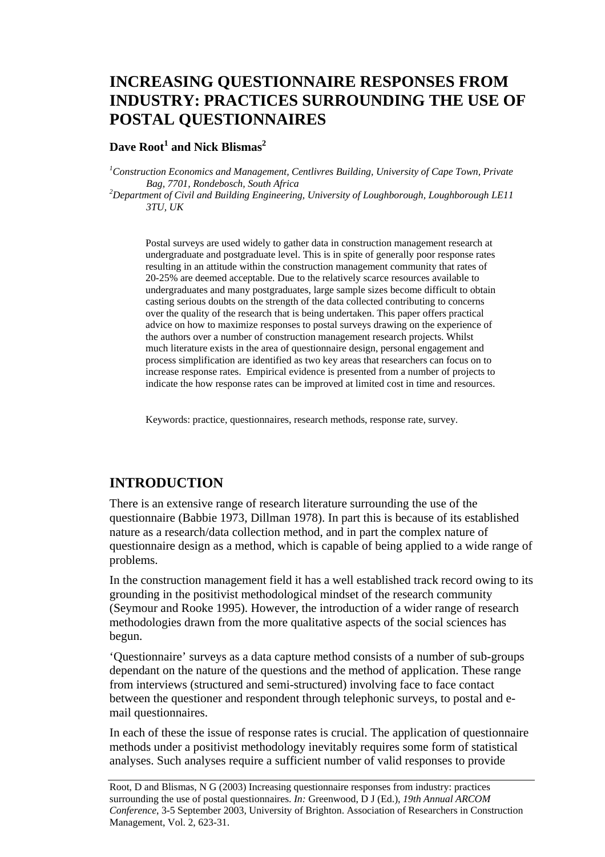# **INCREASING QUESTIONNAIRE RESPONSES FROM INDUSTRY: PRACTICES SURROUNDING THE USE OF POSTAL QUESTIONNAIRES**

#### $\bm{\mathrm{Dave}}$  Root $^1$  and Nick Blismas $^2$

<sup>1</sup> Construction Economics and Management, Centlivres Building, University of Cape Town, Private *Bag, 7701, Rondebosch, South Africa 2*

*Department of Civil and Building Engineering, University of Loughborough, Loughborough LE11 3TU, UK* 

Postal surveys are used widely to gather data in construction management research at undergraduate and postgraduate level. This is in spite of generally poor response rates resulting in an attitude within the construction management community that rates of 20-25% are deemed acceptable. Due to the relatively scarce resources available to undergraduates and many postgraduates, large sample sizes become difficult to obtain casting serious doubts on the strength of the data collected contributing to concerns over the quality of the research that is being undertaken. This paper offers practical advice on how to maximize responses to postal surveys drawing on the experience of the authors over a number of construction management research projects. Whilst much literature exists in the area of questionnaire design, personal engagement and process simplification are identified as two key areas that researchers can focus on to increase response rates. Empirical evidence is presented from a number of projects to indicate the how response rates can be improved at limited cost in time and resources.

Keywords: practice, questionnaires, research methods, response rate, survey.

#### **INTRODUCTION**

There is an extensive range of research literature surrounding the use of the questionnaire (Babbie 1973, Dillman 1978). In part this is because of its established nature as a research/data collection method, and in part the complex nature of questionnaire design as a method, which is capable of being applied to a wide range of problems.

In the construction management field it has a well established track record owing to its grounding in the positivist methodological mindset of the research community (Seymour and Rooke 1995). However, the introduction of a wider range of research methodologies drawn from the more qualitative aspects of the social sciences has begun.

'Questionnaire' surveys as a data capture method consists of a number of sub-groups dependant on the nature of the questions and the method of application. These range from interviews (structured and semi-structured) involving face to face contact between the questioner and respondent through telephonic surveys, to postal and email questionnaires.

In each of these the issue of response rates is crucial. The application of questionnaire methods under a positivist methodology inevitably requires some form of statistical analyses. Such analyses require a sufficient number of valid responses to provide

Root, D and Blismas, N G (2003) Increasing questionnaire responses from industry: practices surrounding the use of postal questionnaires. *In:* Greenwood, D J (Ed.), *19th Annual ARCOM Conference*, 3-5 September 2003, University of Brighton. Association of Researchers in Construction Management, Vol. 2, 623-31.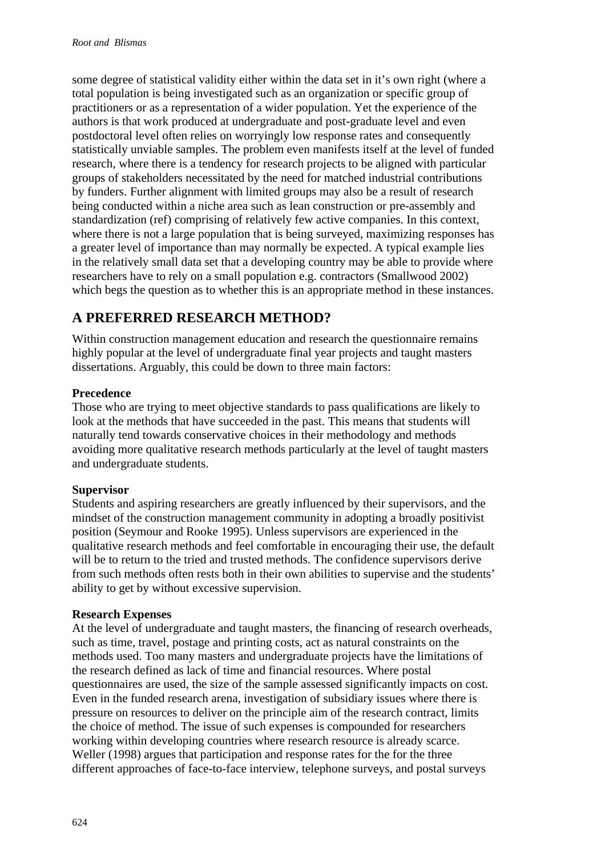some degree of statistical validity either within the data set in it's own right (where a total population is being investigated such as an organization or specific group of practitioners or as a representation of a wider population. Yet the experience of the authors is that work produced at undergraduate and post-graduate level and even postdoctoral level often relies on worryingly low response rates and consequently statistically unviable samples. The problem even manifests itself at the level of funded research, where there is a tendency for research projects to be aligned with particular groups of stakeholders necessitated by the need for matched industrial contributions by funders. Further alignment with limited groups may also be a result of research being conducted within a niche area such as lean construction or pre-assembly and standardization (ref) comprising of relatively few active companies. In this context, where there is not a large population that is being surveyed, maximizing responses has a greater level of importance than may normally be expected. A typical example lies in the relatively small data set that a developing country may be able to provide where researchers have to rely on a small population e.g. contractors (Smallwood 2002) which begs the question as to whether this is an appropriate method in these instances.

## **A PREFERRED RESEARCH METHOD?**

Within construction management education and research the questionnaire remains highly popular at the level of undergraduate final year projects and taught masters dissertations. Arguably, this could be down to three main factors:

#### **Precedence**

Those who are trying to meet objective standards to pass qualifications are likely to look at the methods that have succeeded in the past. This means that students will naturally tend towards conservative choices in their methodology and methods avoiding more qualitative research methods particularly at the level of taught masters and undergraduate students.

#### **Supervisor**

Students and aspiring researchers are greatly influenced by their supervisors, and the mindset of the construction management community in adopting a broadly positivist position (Seymour and Rooke 1995). Unless supervisors are experienced in the qualitative research methods and feel comfortable in encouraging their use, the default will be to return to the tried and trusted methods. The confidence supervisors derive from such methods often rests both in their own abilities to supervise and the students' ability to get by without excessive supervision.

#### **Research Expenses**

At the level of undergraduate and taught masters, the financing of research overheads, such as time, travel, postage and printing costs, act as natural constraints on the methods used. Too many masters and undergraduate projects have the limitations of the research defined as lack of time and financial resources. Where postal questionnaires are used, the size of the sample assessed significantly impacts on cost. Even in the funded research arena, investigation of subsidiary issues where there is pressure on resources to deliver on the principle aim of the research contract, limits the choice of method. The issue of such expenses is compounded for researchers working within developing countries where research resource is already scarce. Weller (1998) argues that participation and response rates for the for the three different approaches of face-to-face interview, telephone surveys, and postal surveys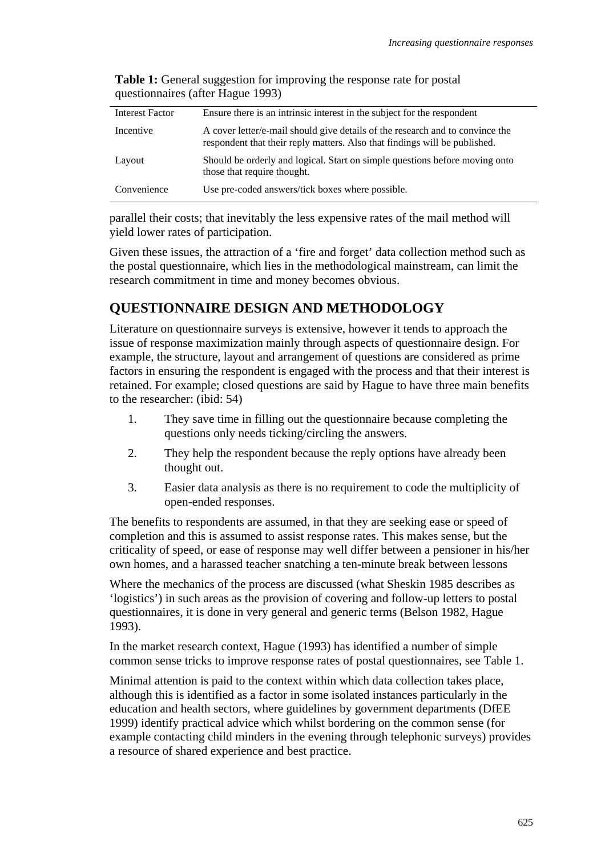| <b>Interest Factor</b> | Ensure there is an intrinsic interest in the subject for the respondent                                                                                     |
|------------------------|-------------------------------------------------------------------------------------------------------------------------------------------------------------|
| Incentive              | A cover letter/e-mail should give details of the research and to convince the<br>respondent that their reply matters. Also that findings will be published. |
| Layout                 | Should be orderly and logical. Start on simple questions before moving onto<br>those that require thought.                                                  |
| Convenience            | Use pre-coded answers/tick boxes where possible.                                                                                                            |

**Table 1:** General suggestion for improving the response rate for postal questionnaires (after Hague 1993)

parallel their costs; that inevitably the less expensive rates of the mail method will yield lower rates of participation.

Given these issues, the attraction of a 'fire and forget' data collection method such as the postal questionnaire, which lies in the methodological mainstream, can limit the research commitment in time and money becomes obvious.

### **QUESTIONNAIRE DESIGN AND METHODOLOGY**

Literature on questionnaire surveys is extensive, however it tends to approach the issue of response maximization mainly through aspects of questionnaire design. For example, the structure, layout and arrangement of questions are considered as prime factors in ensuring the respondent is engaged with the process and that their interest is retained. For example; closed questions are said by Hague to have three main benefits to the researcher: (ibid: 54)

- 1. They save time in filling out the questionnaire because completing the questions only needs ticking/circling the answers.
- 2. They help the respondent because the reply options have already been thought out.
- 3. Easier data analysis as there is no requirement to code the multiplicity of open-ended responses.

The benefits to respondents are assumed, in that they are seeking ease or speed of completion and this is assumed to assist response rates. This makes sense, but the criticality of speed, or ease of response may well differ between a pensioner in his/her own homes, and a harassed teacher snatching a ten-minute break between lessons

Where the mechanics of the process are discussed (what Sheskin 1985 describes as 'logistics') in such areas as the provision of covering and follow-up letters to postal questionnaires, it is done in very general and generic terms (Belson 1982, Hague 1993).

In the market research context, Hague (1993) has identified a number of simple common sense tricks to improve response rates of postal questionnaires, see Table 1.

Minimal attention is paid to the context within which data collection takes place, although this is identified as a factor in some isolated instances particularly in the education and health sectors, where guidelines by government departments (DfEE 1999) identify practical advice which whilst bordering on the common sense (for example contacting child minders in the evening through telephonic surveys) provides a resource of shared experience and best practice.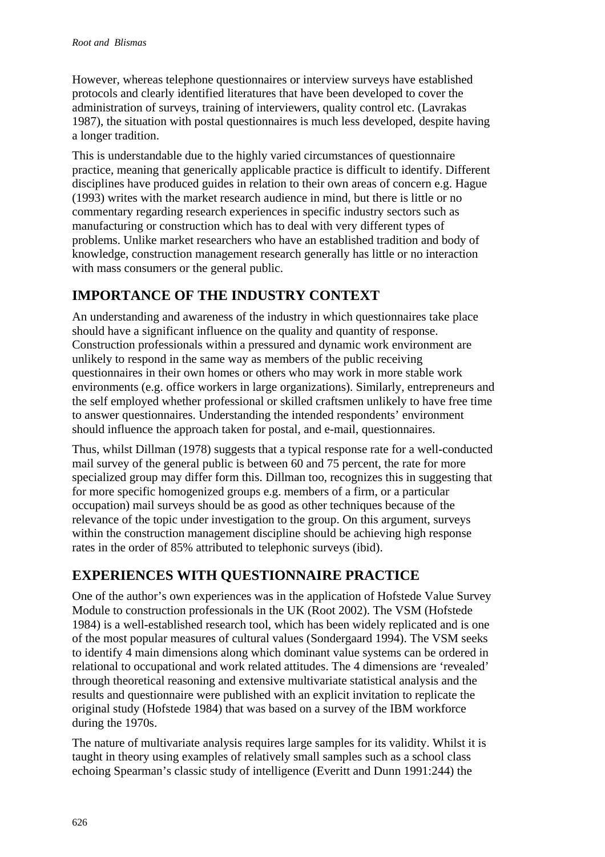However, whereas telephone questionnaires or interview surveys have established protocols and clearly identified literatures that have been developed to cover the administration of surveys, training of interviewers, quality control etc. (Lavrakas 1987), the situation with postal questionnaires is much less developed, despite having a longer tradition.

This is understandable due to the highly varied circumstances of questionnaire practice, meaning that generically applicable practice is difficult to identify. Different disciplines have produced guides in relation to their own areas of concern e.g. Hague (1993) writes with the market research audience in mind, but there is little or no commentary regarding research experiences in specific industry sectors such as manufacturing or construction which has to deal with very different types of problems. Unlike market researchers who have an established tradition and body of knowledge, construction management research generally has little or no interaction with mass consumers or the general public.

## **IMPORTANCE OF THE INDUSTRY CONTEXT**

An understanding and awareness of the industry in which questionnaires take place should have a significant influence on the quality and quantity of response. Construction professionals within a pressured and dynamic work environment are unlikely to respond in the same way as members of the public receiving questionnaires in their own homes or others who may work in more stable work environments (e.g. office workers in large organizations). Similarly, entrepreneurs and the self employed whether professional or skilled craftsmen unlikely to have free time to answer questionnaires. Understanding the intended respondents' environment should influence the approach taken for postal, and e-mail, questionnaires.

Thus, whilst Dillman (1978) suggests that a typical response rate for a well-conducted mail survey of the general public is between 60 and 75 percent, the rate for more specialized group may differ form this. Dillman too, recognizes this in suggesting that for more specific homogenized groups e.g. members of a firm, or a particular occupation) mail surveys should be as good as other techniques because of the relevance of the topic under investigation to the group. On this argument, surveys within the construction management discipline should be achieving high response rates in the order of 85% attributed to telephonic surveys (ibid).

### **EXPERIENCES WITH QUESTIONNAIRE PRACTICE**

One of the author's own experiences was in the application of Hofstede Value Survey Module to construction professionals in the UK (Root 2002). The VSM (Hofstede 1984) is a well-established research tool, which has been widely replicated and is one of the most popular measures of cultural values (Sondergaard 1994). The VSM seeks to identify 4 main dimensions along which dominant value systems can be ordered in relational to occupational and work related attitudes. The 4 dimensions are 'revealed' through theoretical reasoning and extensive multivariate statistical analysis and the results and questionnaire were published with an explicit invitation to replicate the original study (Hofstede 1984) that was based on a survey of the IBM workforce during the 1970s.

The nature of multivariate analysis requires large samples for its validity. Whilst it is taught in theory using examples of relatively small samples such as a school class echoing Spearman's classic study of intelligence (Everitt and Dunn 1991:244) the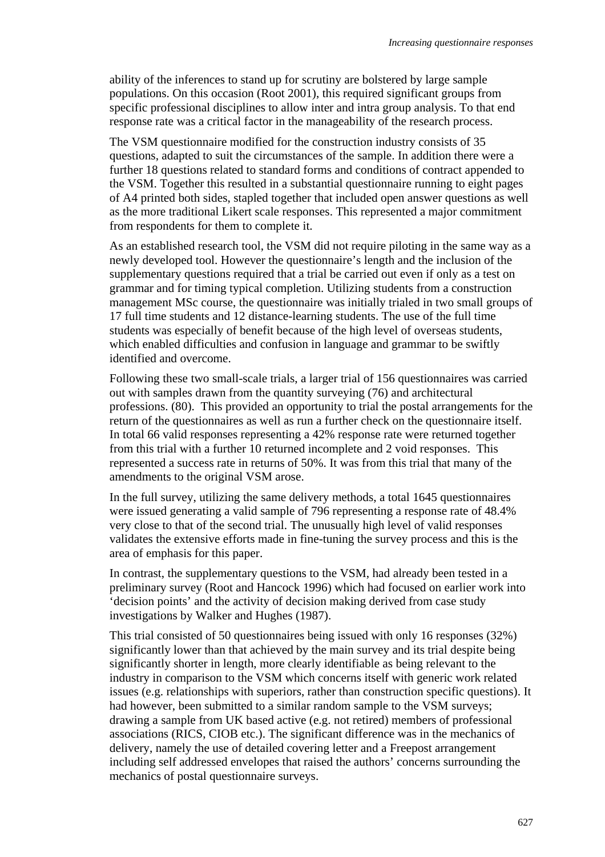ability of the inferences to stand up for scrutiny are bolstered by large sample populations. On this occasion (Root 2001), this required significant groups from specific professional disciplines to allow inter and intra group analysis. To that end response rate was a critical factor in the manageability of the research process.

The VSM questionnaire modified for the construction industry consists of 35 questions, adapted to suit the circumstances of the sample. In addition there were a further 18 questions related to standard forms and conditions of contract appended to the VSM. Together this resulted in a substantial questionnaire running to eight pages of A4 printed both sides, stapled together that included open answer questions as well as the more traditional Likert scale responses. This represented a major commitment from respondents for them to complete it.

As an established research tool, the VSM did not require piloting in the same way as a newly developed tool. However the questionnaire's length and the inclusion of the supplementary questions required that a trial be carried out even if only as a test on grammar and for timing typical completion. Utilizing students from a construction management MSc course, the questionnaire was initially trialed in two small groups of 17 full time students and 12 distance-learning students. The use of the full time students was especially of benefit because of the high level of overseas students, which enabled difficulties and confusion in language and grammar to be swiftly identified and overcome.

Following these two small-scale trials, a larger trial of 156 questionnaires was carried out with samples drawn from the quantity surveying (76) and architectural professions. (80). This provided an opportunity to trial the postal arrangements for the return of the questionnaires as well as run a further check on the questionnaire itself. In total 66 valid responses representing a 42% response rate were returned together from this trial with a further 10 returned incomplete and 2 void responses. This represented a success rate in returns of 50%. It was from this trial that many of the amendments to the original VSM arose.

In the full survey, utilizing the same delivery methods, a total 1645 questionnaires were issued generating a valid sample of 796 representing a response rate of 48.4% very close to that of the second trial. The unusually high level of valid responses validates the extensive efforts made in fine-tuning the survey process and this is the area of emphasis for this paper.

In contrast, the supplementary questions to the VSM, had already been tested in a preliminary survey (Root and Hancock 1996) which had focused on earlier work into 'decision points' and the activity of decision making derived from case study investigations by Walker and Hughes (1987).

This trial consisted of 50 questionnaires being issued with only 16 responses (32%) significantly lower than that achieved by the main survey and its trial despite being significantly shorter in length, more clearly identifiable as being relevant to the industry in comparison to the VSM which concerns itself with generic work related issues (e.g. relationships with superiors, rather than construction specific questions). It had however, been submitted to a similar random sample to the VSM surveys; drawing a sample from UK based active (e.g. not retired) members of professional associations (RICS, CIOB etc.). The significant difference was in the mechanics of delivery, namely the use of detailed covering letter and a Freepost arrangement including self addressed envelopes that raised the authors' concerns surrounding the mechanics of postal questionnaire surveys.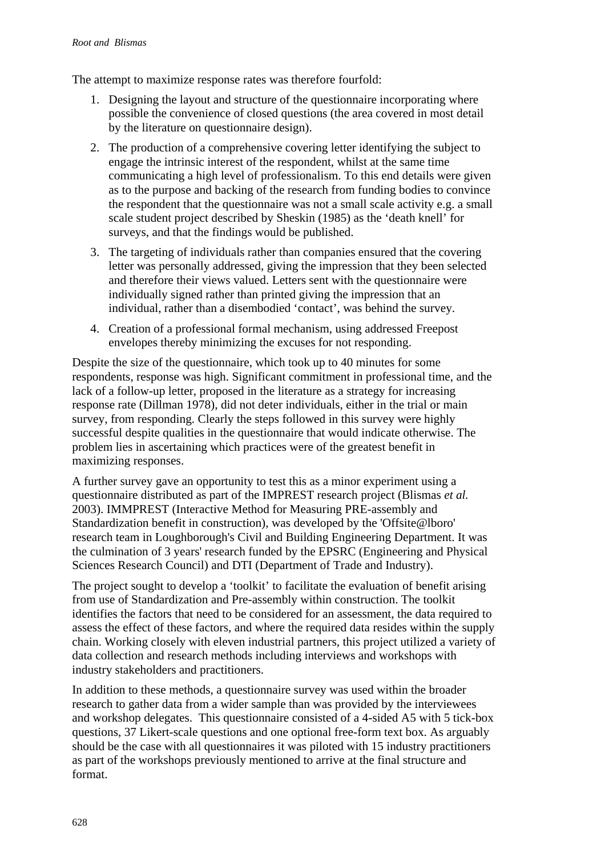The attempt to maximize response rates was therefore fourfold:

- 1. Designing the layout and structure of the questionnaire incorporating where possible the convenience of closed questions (the area covered in most detail by the literature on questionnaire design).
- 2. The production of a comprehensive covering letter identifying the subject to engage the intrinsic interest of the respondent, whilst at the same time communicating a high level of professionalism. To this end details were given as to the purpose and backing of the research from funding bodies to convince the respondent that the questionnaire was not a small scale activity e.g. a small scale student project described by Sheskin (1985) as the 'death knell' for surveys, and that the findings would be published.
- 3. The targeting of individuals rather than companies ensured that the covering letter was personally addressed, giving the impression that they been selected and therefore their views valued. Letters sent with the questionnaire were individually signed rather than printed giving the impression that an individual, rather than a disembodied 'contact', was behind the survey.
- 4. Creation of a professional formal mechanism, using addressed Freepost envelopes thereby minimizing the excuses for not responding.

Despite the size of the questionnaire, which took up to 40 minutes for some respondents, response was high. Significant commitment in professional time, and the lack of a follow-up letter, proposed in the literature as a strategy for increasing response rate (Dillman 1978), did not deter individuals, either in the trial or main survey, from responding. Clearly the steps followed in this survey were highly successful despite qualities in the questionnaire that would indicate otherwise. The problem lies in ascertaining which practices were of the greatest benefit in maximizing responses.

A further survey gave an opportunity to test this as a minor experiment using a questionnaire distributed as part of the IMPREST research project (Blismas *et al.* 2003). IMMPREST (Interactive Method for Measuring PRE-assembly and Standardization benefit in construction), was developed by the 'Offsite@lboro' research team in Loughborough's Civil and Building Engineering Department. It was the culmination of 3 years' research funded by the EPSRC (Engineering and Physical Sciences Research Council) and DTI (Department of Trade and Industry).

The project sought to develop a 'toolkit' to facilitate the evaluation of benefit arising from use of Standardization and Pre-assembly within construction. The toolkit identifies the factors that need to be considered for an assessment, the data required to assess the effect of these factors, and where the required data resides within the supply chain. Working closely with eleven industrial partners, this project utilized a variety of data collection and research methods including interviews and workshops with industry stakeholders and practitioners.

In addition to these methods, a questionnaire survey was used within the broader research to gather data from a wider sample than was provided by the interviewees and workshop delegates. This questionnaire consisted of a 4-sided A5 with 5 tick-box questions, 37 Likert-scale questions and one optional free-form text box. As arguably should be the case with all questionnaires it was piloted with 15 industry practitioners as part of the workshops previously mentioned to arrive at the final structure and format.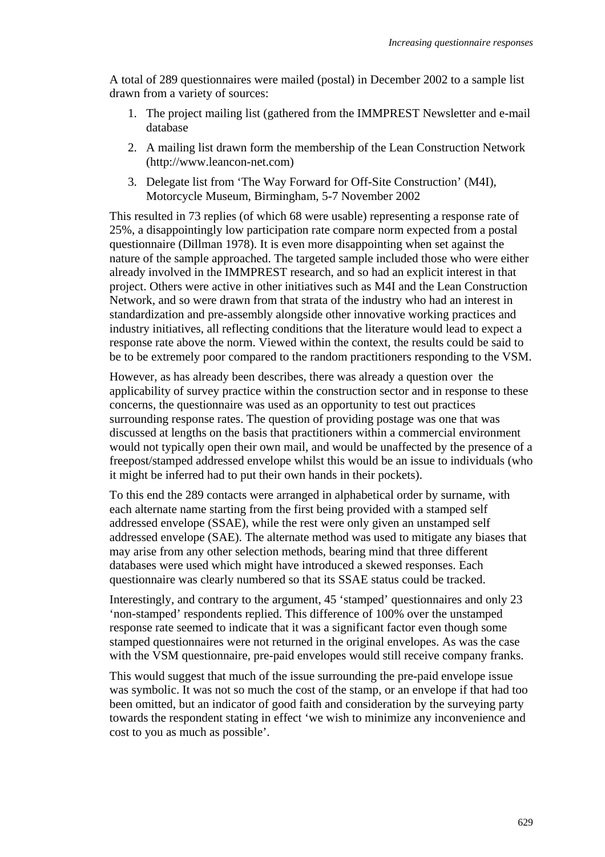A total of 289 questionnaires were mailed (postal) in December 2002 to a sample list drawn from a variety of sources:

- 1. The project mailing list (gathered from the IMMPREST Newsletter and e-mail database
- 2. A mailing list drawn form the membership of the Lean Construction Network (http://www.leancon-net.com)
- 3. Delegate list from 'The Way Forward for Off-Site Construction' (M4I), Motorcycle Museum, Birmingham, 5-7 November 2002

This resulted in 73 replies (of which 68 were usable) representing a response rate of 25%, a disappointingly low participation rate compare norm expected from a postal questionnaire (Dillman 1978). It is even more disappointing when set against the nature of the sample approached. The targeted sample included those who were either already involved in the IMMPREST research, and so had an explicit interest in that project. Others were active in other initiatives such as M4I and the Lean Construction Network, and so were drawn from that strata of the industry who had an interest in standardization and pre-assembly alongside other innovative working practices and industry initiatives, all reflecting conditions that the literature would lead to expect a response rate above the norm. Viewed within the context, the results could be said to be to be extremely poor compared to the random practitioners responding to the VSM.

However, as has already been describes, there was already a question over the applicability of survey practice within the construction sector and in response to these concerns, the questionnaire was used as an opportunity to test out practices surrounding response rates. The question of providing postage was one that was discussed at lengths on the basis that practitioners within a commercial environment would not typically open their own mail, and would be unaffected by the presence of a freepost/stamped addressed envelope whilst this would be an issue to individuals (who it might be inferred had to put their own hands in their pockets).

To this end the 289 contacts were arranged in alphabetical order by surname, with each alternate name starting from the first being provided with a stamped self addressed envelope (SSAE), while the rest were only given an unstamped self addressed envelope (SAE). The alternate method was used to mitigate any biases that may arise from any other selection methods, bearing mind that three different databases were used which might have introduced a skewed responses. Each questionnaire was clearly numbered so that its SSAE status could be tracked.

Interestingly, and contrary to the argument, 45 'stamped' questionnaires and only 23 'non-stamped' respondents replied. This difference of 100% over the unstamped response rate seemed to indicate that it was a significant factor even though some stamped questionnaires were not returned in the original envelopes. As was the case with the VSM questionnaire, pre-paid envelopes would still receive company franks.

This would suggest that much of the issue surrounding the pre-paid envelope issue was symbolic. It was not so much the cost of the stamp, or an envelope if that had too been omitted, but an indicator of good faith and consideration by the surveying party towards the respondent stating in effect 'we wish to minimize any inconvenience and cost to you as much as possible'.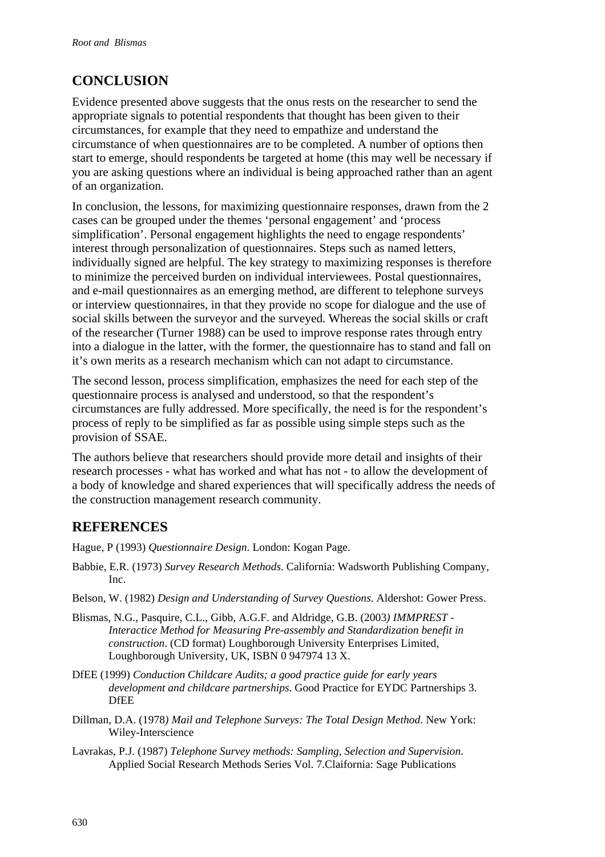## **CONCLUSION**

Evidence presented above suggests that the onus rests on the researcher to send the appropriate signals to potential respondents that thought has been given to their circumstances, for example that they need to empathize and understand the circumstance of when questionnaires are to be completed. A number of options then start to emerge, should respondents be targeted at home (this may well be necessary if you are asking questions where an individual is being approached rather than an agent of an organization.

In conclusion, the lessons, for maximizing questionnaire responses, drawn from the 2 cases can be grouped under the themes 'personal engagement' and 'process simplification'. Personal engagement highlights the need to engage respondents' interest through personalization of questionnaires. Steps such as named letters, individually signed are helpful. The key strategy to maximizing responses is therefore to minimize the perceived burden on individual interviewees. Postal questionnaires, and e-mail questionnaires as an emerging method, are different to telephone surveys or interview questionnaires, in that they provide no scope for dialogue and the use of social skills between the surveyor and the surveyed. Whereas the social skills or craft of the researcher (Turner 1988) can be used to improve response rates through entry into a dialogue in the latter, with the former, the questionnaire has to stand and fall on it's own merits as a research mechanism which can not adapt to circumstance.

The second lesson, process simplification, emphasizes the need for each step of the questionnaire process is analysed and understood, so that the respondent's circumstances are fully addressed. More specifically, the need is for the respondent's process of reply to be simplified as far as possible using simple steps such as the provision of SSAE.

The authors believe that researchers should provide more detail and insights of their research processes - what has worked and what has not - to allow the development of a body of knowledge and shared experiences that will specifically address the needs of the construction management research community.

## **REFERENCES**

Hague, P (1993) *Questionnaire Design*. London: Kogan Page.

- Babbie, E.R. (1973) *Survey Research Methods*. California: Wadsworth Publishing Company, Inc.
- Belson, W. (1982) *Design and Understanding of Survey Questions*. Aldershot: Gower Press.
- Blismas, N.G., Pasquire, C.L., Gibb, A.G.F. and Aldridge, G.B. (2003*) IMMPREST Interactice Method for Measuring Pre-assembly and Standardization benefit in construction*. (CD format) Loughborough University Enterprises Limited, Loughborough University, UK, ISBN 0 947974 13 X.
- DfEE (1999) *Conduction Childcare Audits; a good practice guide for early years development and childcare partnerships*. Good Practice for EYDC Partnerships 3. **DfEE**
- Dillman, D.A. (1978*) Mail and Telephone Surveys: The Total Design Method*. New York: Wiley-Interscience
- Lavrakas, P.J. (1987) *Telephone Survey methods: Sampling, Selection and Supervision*. Applied Social Research Methods Series Vol. 7.Claifornia: Sage Publications